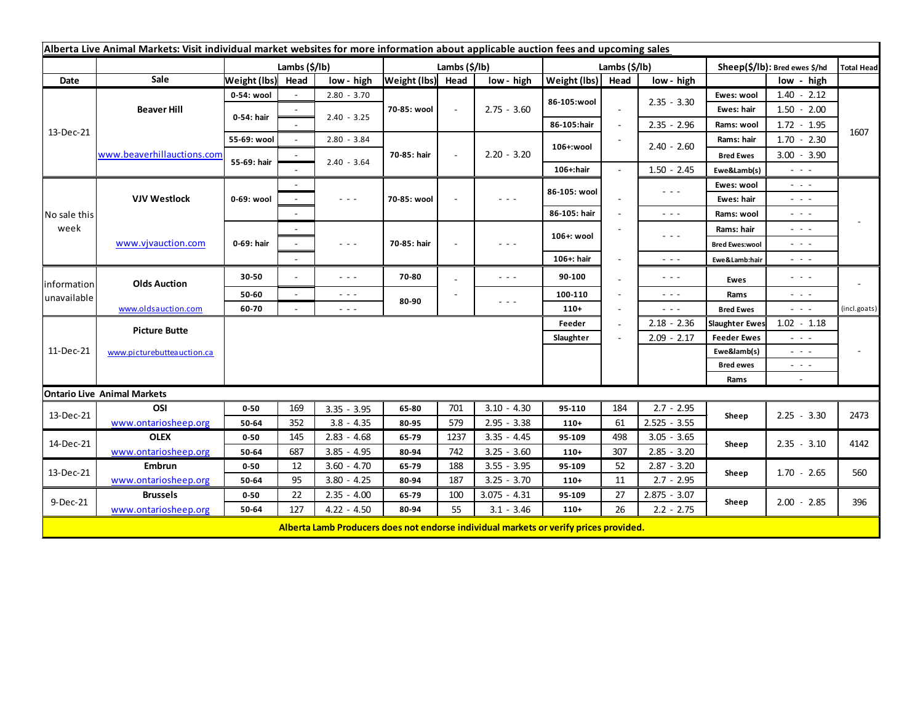| Alberta Live Animal Markets: Visit individual market websites for more information about applicable auction fees and upcoming sales |                            |                   |                          |                                                                                                                           |               |        |                                                                                                                        |               |      |                                                                                                                                                |                                   |                                                                                                                           |                   |
|-------------------------------------------------------------------------------------------------------------------------------------|----------------------------|-------------------|--------------------------|---------------------------------------------------------------------------------------------------------------------------|---------------|--------|------------------------------------------------------------------------------------------------------------------------|---------------|------|------------------------------------------------------------------------------------------------------------------------------------------------|-----------------------------------|---------------------------------------------------------------------------------------------------------------------------|-------------------|
|                                                                                                                                     |                            |                   | Lambs (\$/lb)            |                                                                                                                           | Lambs (\$/lb) |        |                                                                                                                        | Lambs (\$/lb) |      |                                                                                                                                                | Sheep(\$/lb): Bred ewes \$/hd     |                                                                                                                           | <b>Total Head</b> |
| Date                                                                                                                                | Sale                       | Weight (lbs) Head |                          | low - high                                                                                                                | Weight (lbs)  | Head   | low - high                                                                                                             | Weight (lbs)  | Head | low - high                                                                                                                                     |                                   | low - high                                                                                                                |                   |
| 13-Dec-21                                                                                                                           | <b>Beaver Hill</b>         | 0-54: wool        |                          | $2.80 - 3.70$                                                                                                             |               |        | $2.75 - 3.60$                                                                                                          | 86-105:wool   |      |                                                                                                                                                | Ewes: wool                        | $1.40 - 2.12$                                                                                                             |                   |
|                                                                                                                                     |                            | 0-54: hair        |                          |                                                                                                                           | 70-85: wool   | $\sim$ |                                                                                                                        |               |      | $2.35 - 3.30$                                                                                                                                  | Ewes: hair                        | $1.50 - 2.00$                                                                                                             |                   |
|                                                                                                                                     |                            |                   |                          | $2.40 - 3.25$                                                                                                             |               |        |                                                                                                                        | 86-105:hair   |      | $2.35 - 2.96$                                                                                                                                  | Rams: wool                        | $1.72 - 1.95$                                                                                                             |                   |
|                                                                                                                                     | www.beaverhillauctions.com | 55-69: wool       | $\sim$                   | $2.80 - 3.84$                                                                                                             |               | $\sim$ | $2.20 - 3.20$                                                                                                          | 106+:wool     |      | $2.40 - 2.60$                                                                                                                                  | Rams: hair                        | $1.70 - 2.30$                                                                                                             | 1607              |
|                                                                                                                                     |                            | 55-69: hair       |                          |                                                                                                                           | 70-85: hair   |        |                                                                                                                        |               |      |                                                                                                                                                | <b>Bred Ewes</b>                  | $3.00 - 3.90$                                                                                                             |                   |
|                                                                                                                                     |                            |                   |                          | $2.40 - 3.64$                                                                                                             |               |        |                                                                                                                        | 106+:hair     |      | $1.50 - 2.45$                                                                                                                                  | Ewe&Lamb(s)                       | $\sim$ 100 $\sim$                                                                                                         |                   |
| No sale this<br>week                                                                                                                | <b>VJV Westlock</b>        | 0-69: wool        |                          |                                                                                                                           | 70-85: wool   |        | $\frac{1}{2} \left( \frac{1}{2} \right) \left( \frac{1}{2} \right) \left( \frac{1}{2} \right)$                         | 86-105: wool  |      | $\sim$ $\sim$ $\sim$                                                                                                                           | Ewes: wool                        | $\sim$ $\sim$ $\sim$                                                                                                      |                   |
|                                                                                                                                     |                            |                   |                          | $\frac{1}{2} \left( \frac{1}{2} \right) \frac{1}{2} \left( \frac{1}{2} \right) \frac{1}{2} \left( \frac{1}{2} \right)$    |               |        |                                                                                                                        |               |      |                                                                                                                                                | Ewes: hair                        | $\frac{1}{2} \left( \frac{1}{2} \right) \left( \frac{1}{2} \right) \left( \frac{1}{2} \right)$                            |                   |
|                                                                                                                                     |                            |                   |                          |                                                                                                                           |               |        |                                                                                                                        | 86-105: hair  |      | $\sim$ $\sim$ $\sim$                                                                                                                           | Rams: wool                        | $\frac{1}{2} \left( \frac{1}{2} \right) \frac{1}{2} \left( \frac{1}{2} \right) \frac{1}{2} \left( \frac{1}{2} \right)$    |                   |
|                                                                                                                                     | www.vjvauction.com         | 0-69: hair        |                          |                                                                                                                           | 70-85: hair   |        | $\sim$ $\sim$ $\sim$                                                                                                   | 106+: wool    |      | $\frac{1}{2} \left( \frac{1}{2} \right) \frac{1}{2} \left( \frac{1}{2} \right) \frac{1}{2} \left( \frac{1}{2} \right)$<br>$\sim$ $\sim$ $\sim$ | Rams: hair                        | $\frac{1}{2} \left( \frac{1}{2} \right) \left( \frac{1}{2} \right) \left( \frac{1}{2} \right) \left( \frac{1}{2} \right)$ |                   |
|                                                                                                                                     |                            |                   | $\sim$                   | $\frac{1}{2} \left( \frac{1}{2} \right) \left( \frac{1}{2} \right) \left( \frac{1}{2} \right) \left( \frac{1}{2} \right)$ |               |        |                                                                                                                        |               |      |                                                                                                                                                | <b>Bred Ewes:wool</b>             | $\frac{1}{2} \left( \frac{1}{2} \right) \frac{1}{2} \left( \frac{1}{2} \right) \frac{1}{2} \left( \frac{1}{2} \right)$    |                   |
|                                                                                                                                     |                            |                   |                          |                                                                                                                           |               |        |                                                                                                                        | 106+: hair    |      |                                                                                                                                                | Ewe&Lamb:hair                     | $  -$                                                                                                                     |                   |
| information<br>unavailable                                                                                                          | <b>Olds Auction</b>        | 30-50             | $\overline{\phantom{a}}$ | $  -$                                                                                                                     | 70-80         |        | $\frac{1}{2} \left( \frac{1}{2} \right) \frac{1}{2} \left( \frac{1}{2} \right) \frac{1}{2} \left( \frac{1}{2} \right)$ | 90-100        |      | $\frac{1}{2} \left( \frac{1}{2} \right) \frac{1}{2} \left( \frac{1}{2} \right) \frac{1}{2} \left( \frac{1}{2} \right)$                         | Ewes                              | $  -$                                                                                                                     |                   |
|                                                                                                                                     |                            | 50-60             | $\sim$                   | $\frac{1}{2} \left( \frac{1}{2} \right) \frac{1}{2} \left( \frac{1}{2} \right) \frac{1}{2} \left( \frac{1}{2} \right)$    | 80-90         |        |                                                                                                                        | 100-110       |      | $\frac{1}{2} \left( \frac{1}{2} \right) \frac{1}{2} \left( \frac{1}{2} \right) \frac{1}{2} \left( \frac{1}{2} \right)$                         | Rams<br>$  -$<br><b>Bred Ewes</b> | $\frac{1}{2} \left( \frac{1}{2} \right) \left( \frac{1}{2} \right) \left( \frac{1}{2} \right) \left( \frac{1}{2} \right)$ |                   |
|                                                                                                                                     | www.oldsauction.com        | 60-70             |                          | $  -$                                                                                                                     |               |        | $\sim$ $\sim$ $\sim$                                                                                                   | $110+$        |      |                                                                                                                                                |                                   | $\sim$ 100 $\pm$                                                                                                          | (incl.goats)      |
| 11-Dec-21                                                                                                                           | <b>Picture Butte</b>       |                   |                          |                                                                                                                           |               |        |                                                                                                                        | Feeder        |      | $2.18 - 2.36$                                                                                                                                  | <b>Slaughter Ewes</b>             | $1.02 - 1.18$                                                                                                             |                   |
|                                                                                                                                     |                            |                   |                          |                                                                                                                           |               |        |                                                                                                                        |               |      | $2.09 - 2.17$                                                                                                                                  | <b>Feeder Ewes</b>                | $\sim$ 100 $\sim$                                                                                                         |                   |
|                                                                                                                                     | www.picturebutteauction.ca |                   |                          |                                                                                                                           |               |        |                                                                                                                        |               |      |                                                                                                                                                | Ewe&lamb(s)                       | $\sim$ 100 $\pm$                                                                                                          |                   |
|                                                                                                                                     |                            |                   |                          |                                                                                                                           |               |        |                                                                                                                        |               |      |                                                                                                                                                | <b>Bred ewes</b>                  | $\frac{1}{2} \left( \frac{1}{2} \right) \left( \frac{1}{2} \right) \left( \frac{1}{2} \right) \left( \frac{1}{2} \right)$ |                   |
|                                                                                                                                     |                            |                   |                          |                                                                                                                           |               |        |                                                                                                                        |               |      |                                                                                                                                                | Rams                              | $\sim$                                                                                                                    |                   |
| <b>Ontario Live Animal Markets</b>                                                                                                  |                            |                   |                          |                                                                                                                           |               |        |                                                                                                                        |               |      |                                                                                                                                                |                                   |                                                                                                                           |                   |
| 13-Dec-21                                                                                                                           | OSI                        | $0 - 50$          | 169                      | $3.35 - 3.95$                                                                                                             | 65-80         | 701    | $3.10 - 4.30$                                                                                                          | 95-110        | 184  | $2.7 - 2.95$                                                                                                                                   | Sheep                             | $2.25 - 3.30$                                                                                                             | 2473              |
|                                                                                                                                     | www.ontariosheep.org       | 50-64             | 352                      | $3.8 - 4.35$                                                                                                              | 80-95         | 579    | $2.95 - 3.38$                                                                                                          | $110+$        | 61   | $2.525 - 3.55$                                                                                                                                 |                                   |                                                                                                                           |                   |
| 14-Dec-21                                                                                                                           | <b>OLEX</b>                | $0 - 50$          | 145                      | $2.83 - 4.68$                                                                                                             | 65-79         | 1237   | $3.35 - 4.45$                                                                                                          | 95-109        | 498  | $3.05 - 3.65$                                                                                                                                  | Sheep                             | $2.35 - 3.10$                                                                                                             | 4142              |
|                                                                                                                                     | www.ontariosheep.org       | 50-64             | 687                      | $3.85 - 4.95$                                                                                                             | 80-94         | 742    | $3.25 - 3.60$                                                                                                          | $110+$        | 307  | $2.85 - 3.20$                                                                                                                                  |                                   |                                                                                                                           |                   |
| 13-Dec-21<br>9-Dec-21                                                                                                               | <b>Embrun</b>              | $0 - 50$          | 12                       | $3.60 - 4.70$                                                                                                             | 65-79         | 188    | $3.55 - 3.95$                                                                                                          | 95-109        | 52   | $2.87 - 3.20$                                                                                                                                  | Sheep                             | $1.70 - 2.65$<br>$2.00 - 2.85$                                                                                            | 560<br>396        |
|                                                                                                                                     | www.ontariosheep.org       | 50-64             | 95                       | $3.80 - 4.25$                                                                                                             | 80-94         | 187    | $3.25 - 3.70$                                                                                                          | $110+$        | 11   | $2.7 - 2.95$                                                                                                                                   |                                   |                                                                                                                           |                   |
|                                                                                                                                     | <b>Brussels</b>            | $0 - 50$          | 22                       | $2.35 - 4.00$                                                                                                             | 65-79         | 100    | $3.075 - 4.31$                                                                                                         | 95-109        | 27   | $2.875 - 3.07$                                                                                                                                 | Sheep                             |                                                                                                                           |                   |
|                                                                                                                                     | www.ontariosheep.org       | 50-64             | 127                      | $4.22 - 4.50$                                                                                                             | 80-94         | 55     | $3.1 - 3.46$                                                                                                           | $110+$        | 26   | $2.2 - 2.75$                                                                                                                                   |                                   |                                                                                                                           |                   |
|                                                                                                                                     |                            |                   |                          |                                                                                                                           |               |        | Alberta Lamb Producers does not endorse individual markets or verify prices provided.                                  |               |      |                                                                                                                                                |                                   |                                                                                                                           |                   |